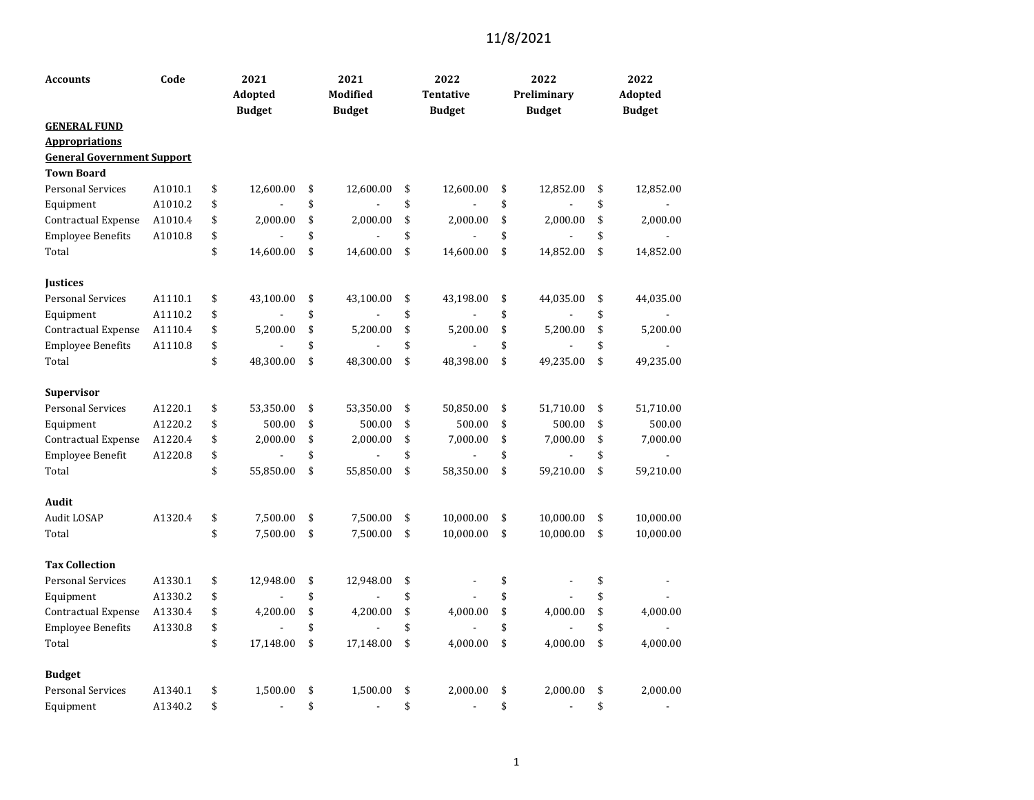| Code<br><b>Accounts</b>           |         | 2021<br>Adopted<br><b>Budget</b> |                | 2021<br><b>Modified</b><br><b>Budget</b> |                          |    | 2022<br><b>Tentative</b><br><b>Budget</b> | 2022<br>Preliminary<br><b>Budget</b> | 2022<br>Adopted<br><b>Budget</b> |
|-----------------------------------|---------|----------------------------------|----------------|------------------------------------------|--------------------------|----|-------------------------------------------|--------------------------------------|----------------------------------|
| <b>GENERAL FUND</b>               |         |                                  |                |                                          |                          |    |                                           |                                      |                                  |
| <b>Appropriations</b>             |         |                                  |                |                                          |                          |    |                                           |                                      |                                  |
| <b>General Government Support</b> |         |                                  |                |                                          |                          |    |                                           |                                      |                                  |
| <b>Town Board</b>                 |         |                                  |                |                                          |                          |    |                                           |                                      |                                  |
| <b>Personal Services</b>          | A1010.1 | \$                               | 12,600.00      | \$                                       | 12,600.00                | \$ | 12,600.00                                 | \$<br>12,852.00                      | \$<br>12,852.00                  |
| Equipment                         | A1010.2 | \$                               |                | \$                                       |                          | \$ |                                           | \$                                   | \$                               |
| Contractual Expense               | A1010.4 | \$                               | 2,000.00       | \$                                       | 2,000.00                 | \$ | 2,000.00                                  | \$<br>2,000.00                       | \$<br>2,000.00                   |
| <b>Employee Benefits</b>          | A1010.8 | \$                               |                | \$                                       |                          | \$ |                                           | \$                                   | \$                               |
| Total                             |         | \$                               | 14,600.00      | \$                                       | 14,600.00                | \$ | 14,600.00                                 | \$<br>14,852.00                      | \$<br>14,852.00                  |
| <b>Iustices</b>                   |         |                                  |                |                                          |                          |    |                                           |                                      |                                  |
| <b>Personal Services</b>          | A1110.1 | \$                               | 43,100.00      | \$                                       | 43,100.00                | \$ | 43,198.00                                 | \$<br>44,035.00                      | \$<br>44,035.00                  |
| Equipment                         | A1110.2 | \$                               |                | \$                                       |                          | \$ |                                           | \$                                   | \$                               |
| Contractual Expense               | A1110.4 | \$                               | 5,200.00       | \$                                       | 5,200.00                 | \$ | 5,200.00                                  | \$<br>5,200.00                       | \$<br>5,200.00                   |
| <b>Employee Benefits</b>          | A1110.8 | \$                               |                | \$                                       |                          | \$ |                                           | \$                                   | \$                               |
| Total                             |         | \$                               | 48,300.00      | \$                                       | 48,300.00                | \$ | 48,398.00                                 | \$<br>49,235.00                      | \$<br>49,235.00                  |
| <b>Supervisor</b>                 |         |                                  |                |                                          |                          |    |                                           |                                      |                                  |
| <b>Personal Services</b>          | A1220.1 | \$                               | 53,350.00      | \$                                       | 53,350.00                | \$ | 50,850.00                                 | \$<br>51,710.00                      | \$<br>51,710.00                  |
| Equipment                         | A1220.2 | \$                               | 500.00         | \$                                       | 500.00                   | \$ | 500.00                                    | \$<br>500.00                         | \$<br>500.00                     |
| Contractual Expense               | A1220.4 | \$                               | 2,000.00       | \$                                       | 2,000.00                 | \$ | 7,000.00                                  | \$<br>7,000.00                       | \$<br>7,000.00                   |
| Employee Benefit                  | A1220.8 | \$                               | $\overline{a}$ | \$                                       | ÷,                       | \$ | $\overline{a}$                            | \$<br>$\overline{a}$                 | \$                               |
| Total                             |         | \$                               | 55,850.00      | \$                                       | 55,850.00                | \$ | 58,350.00                                 | \$<br>59,210.00                      | \$<br>59,210.00                  |
| Audit                             |         |                                  |                |                                          |                          |    |                                           |                                      |                                  |
| Audit LOSAP                       | A1320.4 | \$                               | 7,500.00       | \$                                       | 7,500.00                 | \$ | 10,000.00                                 | \$<br>10,000.00                      | \$<br>10,000.00                  |
| Total                             |         | \$                               | 7,500.00       | \$                                       | 7,500.00                 | \$ | 10,000.00                                 | \$<br>10,000.00                      | \$<br>10,000.00                  |
| <b>Tax Collection</b>             |         |                                  |                |                                          |                          |    |                                           |                                      |                                  |
| <b>Personal Services</b>          | A1330.1 | \$                               | 12,948.00      | \$                                       | 12,948.00                | \$ |                                           | \$                                   | \$                               |
| Equipment                         | A1330.2 | \$                               |                | \$                                       |                          | \$ |                                           | \$                                   | \$                               |
| Contractual Expense               | A1330.4 | \$                               | 4,200.00       | \$                                       | 4,200.00                 | \$ | 4,000.00                                  | \$<br>4,000.00                       | \$<br>4,000.00                   |
| <b>Employee Benefits</b>          | A1330.8 | \$                               |                | \$                                       |                          | \$ |                                           | \$                                   | \$                               |
| Total                             |         | \$                               | 17,148.00      | \$                                       | 17,148.00                | \$ | 4,000.00                                  | \$<br>4,000.00                       | \$<br>4,000.00                   |
| <b>Budget</b>                     |         |                                  |                |                                          |                          |    |                                           |                                      |                                  |
| <b>Personal Services</b>          | A1340.1 | \$                               | 1,500.00       | \$                                       | 1,500.00                 | \$ | 2,000.00                                  | \$<br>2,000.00                       | \$<br>2,000.00                   |
| Equipment                         | A1340.2 | \$                               | $\overline{a}$ | \$                                       | $\overline{\phantom{m}}$ | \$ | $\overline{a}$                            | \$<br>$\overline{a}$                 | \$<br>$\overline{\phantom{a}}$   |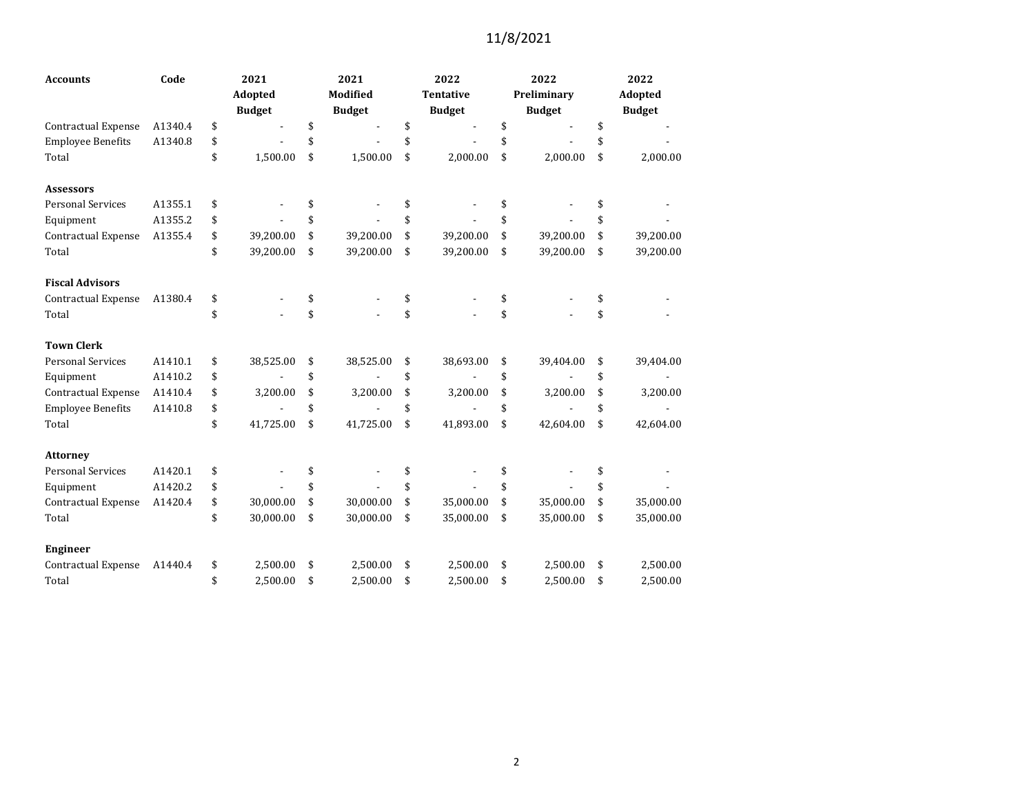| <b>Accounts</b>            | Code    | 2021            |    | 2021            | 2022             | 2022            | 2022            |
|----------------------------|---------|-----------------|----|-----------------|------------------|-----------------|-----------------|
|                            |         | Adopted         |    | <b>Modified</b> | <b>Tentative</b> | Preliminary     | Adopted         |
|                            |         | <b>Budget</b>   |    | <b>Budget</b>   | <b>Budget</b>    | <b>Budget</b>   | <b>Budget</b>   |
| Contractual Expense        | A1340.4 | \$              | \$ |                 | \$               | \$              | \$              |
| <b>Employee Benefits</b>   | A1340.8 | \$              | \$ |                 | \$               | \$              | \$              |
| Total                      |         | \$<br>1,500.00  | \$ | 1,500.00        | \$<br>2,000.00   | \$<br>2,000.00  | \$<br>2,000.00  |
| <b>Assessors</b>           |         |                 |    |                 |                  |                 |                 |
| <b>Personal Services</b>   | A1355.1 | \$              | \$ |                 | \$               | \$              | \$              |
| Equipment                  | A1355.2 | \$              | \$ |                 | \$               | \$              | \$              |
| Contractual Expense        | A1355.4 | \$<br>39,200.00 | \$ | 39,200.00       | \$<br>39,200.00  | \$<br>39,200.00 | \$<br>39,200.00 |
| Total                      |         | \$<br>39,200.00 | \$ | 39,200.00       | \$<br>39,200.00  | \$<br>39,200.00 | \$<br>39,200.00 |
| <b>Fiscal Advisors</b>     |         |                 |    |                 |                  |                 |                 |
| <b>Contractual Expense</b> | A1380.4 | \$              | \$ |                 | \$               | \$              | \$              |
| Total                      |         | \$              | \$ |                 | \$               | \$              | \$              |
| <b>Town Clerk</b>          |         |                 |    |                 |                  |                 |                 |
| <b>Personal Services</b>   | A1410.1 | \$<br>38,525.00 | \$ | 38,525.00       | \$<br>38,693.00  | \$<br>39,404.00 | \$<br>39,404.00 |
| Equipment                  | A1410.2 | \$              | \$ |                 | \$               | \$              | \$              |
| Contractual Expense        | A1410.4 | \$<br>3,200.00  | \$ | 3,200.00        | \$<br>3,200.00   | \$<br>3,200.00  | \$<br>3,200.00  |
| <b>Employee Benefits</b>   | A1410.8 | \$              | \$ |                 | \$               | \$              | \$              |
| Total                      |         | \$<br>41,725.00 | \$ | 41,725.00       | \$<br>41,893.00  | \$<br>42,604.00 | \$<br>42,604.00 |
| <b>Attorney</b>            |         |                 |    |                 |                  |                 |                 |
| <b>Personal Services</b>   | A1420.1 | \$              | \$ |                 | \$               | \$              | \$              |
| Equipment                  | A1420.2 | \$              | \$ |                 | \$               | \$              | \$              |
| <b>Contractual Expense</b> | A1420.4 | \$<br>30,000.00 | \$ | 30,000.00       | \$<br>35,000.00  | \$<br>35,000.00 | \$<br>35,000.00 |
| Total                      |         | \$<br>30,000.00 | \$ | 30,000.00       | \$<br>35,000.00  | \$<br>35,000.00 | \$<br>35,000.00 |
| <b>Engineer</b>            |         |                 |    |                 |                  |                 |                 |
| Contractual Expense        | A1440.4 | \$<br>2,500.00  | \$ | 2,500.00        | \$<br>2,500.00   | \$<br>2,500.00  | \$<br>2,500.00  |
| Total                      |         | \$<br>2,500.00  | \$ | 2,500.00        | \$<br>2,500.00   | \$<br>2,500.00  | \$<br>2,500.00  |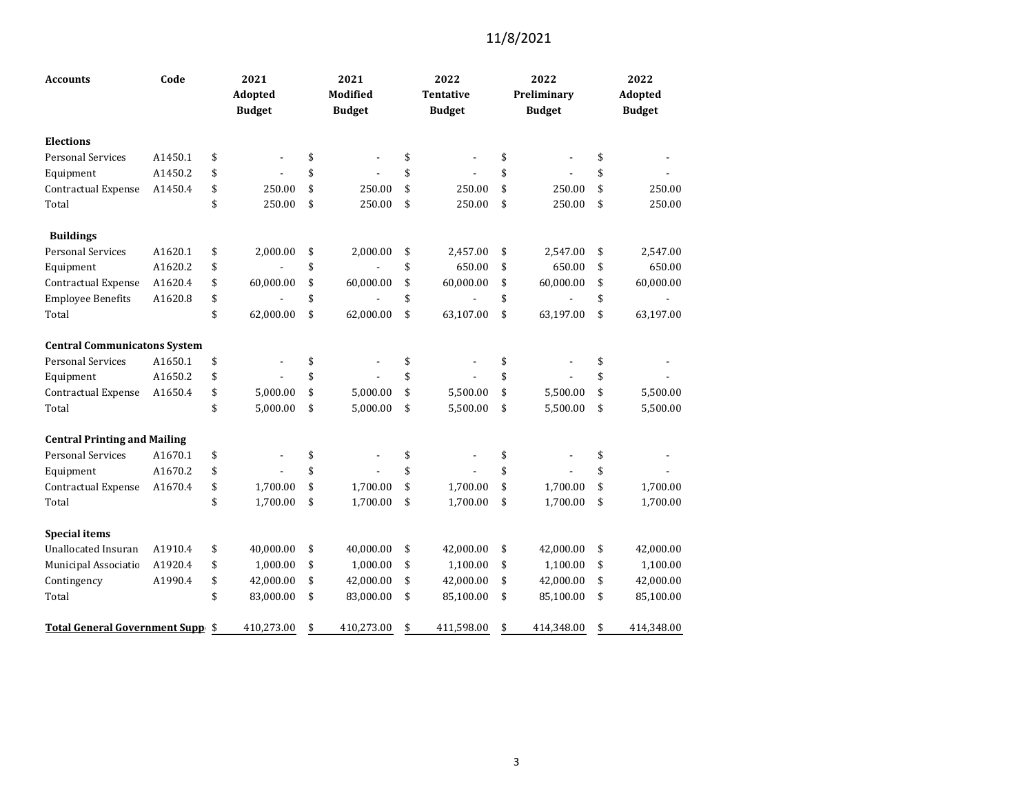| <b>Accounts</b>                         | Code    | 2021<br>Adopted<br><b>Budget</b> | 2021<br>Modified<br><b>Budget</b> | 2022<br><b>Tentative</b><br><b>Budget</b> | 2022<br>Preliminary<br><b>Budget</b> | 2022<br>Adopted<br><b>Budget</b> |
|-----------------------------------------|---------|----------------------------------|-----------------------------------|-------------------------------------------|--------------------------------------|----------------------------------|
| <b>Elections</b>                        |         |                                  |                                   |                                           |                                      |                                  |
| <b>Personal Services</b>                | A1450.1 | \$                               | \$<br>$\overline{a}$              | \$                                        | \$                                   | \$                               |
| Equipment                               | A1450.2 | \$                               | \$                                | \$                                        | \$                                   | \$                               |
| Contractual Expense                     | A1450.4 | \$<br>250.00                     | \$<br>250.00                      | \$<br>250.00                              | \$<br>250.00                         | \$<br>250.00                     |
| Total                                   |         | \$<br>250.00                     | \$<br>250.00                      | \$<br>250.00                              | \$<br>250.00                         | \$<br>250.00                     |
| <b>Buildings</b>                        |         |                                  |                                   |                                           |                                      |                                  |
| <b>Personal Services</b>                | A1620.1 | \$<br>2,000.00                   | \$<br>2,000.00                    | \$<br>2,457.00                            | \$<br>2,547.00                       | \$<br>2,547.00                   |
| Equipment                               | A1620.2 | \$                               | \$                                | \$<br>650.00                              | \$<br>650.00                         | \$<br>650.00                     |
| Contractual Expense                     | A1620.4 | \$<br>60,000.00                  | \$<br>60,000.00                   | \$<br>60,000.00                           | \$<br>60,000.00                      | \$<br>60,000.00                  |
| <b>Employee Benefits</b>                | A1620.8 | \$                               | \$                                | \$                                        | \$                                   | \$                               |
| Total                                   |         | \$<br>62,000.00                  | \$<br>62,000.00                   | \$<br>63,107.00                           | \$<br>63,197.00                      | \$<br>63,197.00                  |
| <b>Central Communicatons System</b>     |         |                                  |                                   |                                           |                                      |                                  |
| <b>Personal Services</b>                | A1650.1 | \$                               | \$                                | \$                                        | \$                                   | \$                               |
| Equipment                               | A1650.2 | \$                               | \$                                | \$                                        | \$                                   | \$                               |
| Contractual Expense                     | A1650.4 | \$<br>5,000.00                   | \$<br>5,000.00                    | \$<br>5,500.00                            | \$<br>5,500.00                       | \$<br>5,500.00                   |
| Total                                   |         | \$<br>5,000.00                   | \$<br>5,000.00                    | \$<br>5,500.00                            | \$<br>5,500.00                       | \$<br>5,500.00                   |
| <b>Central Printing and Mailing</b>     |         |                                  |                                   |                                           |                                      |                                  |
| <b>Personal Services</b>                | A1670.1 | \$                               | \$                                | \$                                        | \$                                   | \$                               |
| Equipment                               | A1670.2 | \$                               | \$                                | \$                                        | \$                                   | \$                               |
| Contractual Expense                     | A1670.4 | \$<br>1,700.00                   | \$<br>1,700.00                    | \$<br>1,700.00                            | \$<br>1,700.00                       | \$<br>1,700.00                   |
| Total                                   |         | \$<br>1,700.00                   | \$<br>1,700.00                    | \$<br>1,700.00                            | \$<br>1,700.00                       | \$<br>1,700.00                   |
| <b>Special items</b>                    |         |                                  |                                   |                                           |                                      |                                  |
| <b>Unallocated Insuran</b>              | A1910.4 | \$<br>40,000.00                  | \$<br>40,000.00                   | \$<br>42,000.00                           | \$<br>42,000.00                      | \$<br>42,000.00                  |
| Municipal Associatio                    | A1920.4 | \$<br>1,000.00                   | \$<br>1,000.00                    | \$<br>1,100.00                            | \$<br>1,100.00                       | \$<br>1,100.00                   |
| Contingency                             | A1990.4 | \$<br>42,000.00                  | \$<br>42,000.00                   | \$<br>42,000.00                           | \$<br>42,000.00                      | \$<br>42,000.00                  |
| Total                                   |         | \$<br>83,000.00                  | \$<br>83,000.00                   | \$<br>85,100.00                           | \$<br>85,100.00                      | \$<br>85,100.00                  |
| <b>Total General Government Supp \$</b> |         | 410,273.00                       | \$<br>410,273.00                  | \$<br>411,598.00                          | \$<br>414,348.00                     | \$<br>414,348.00                 |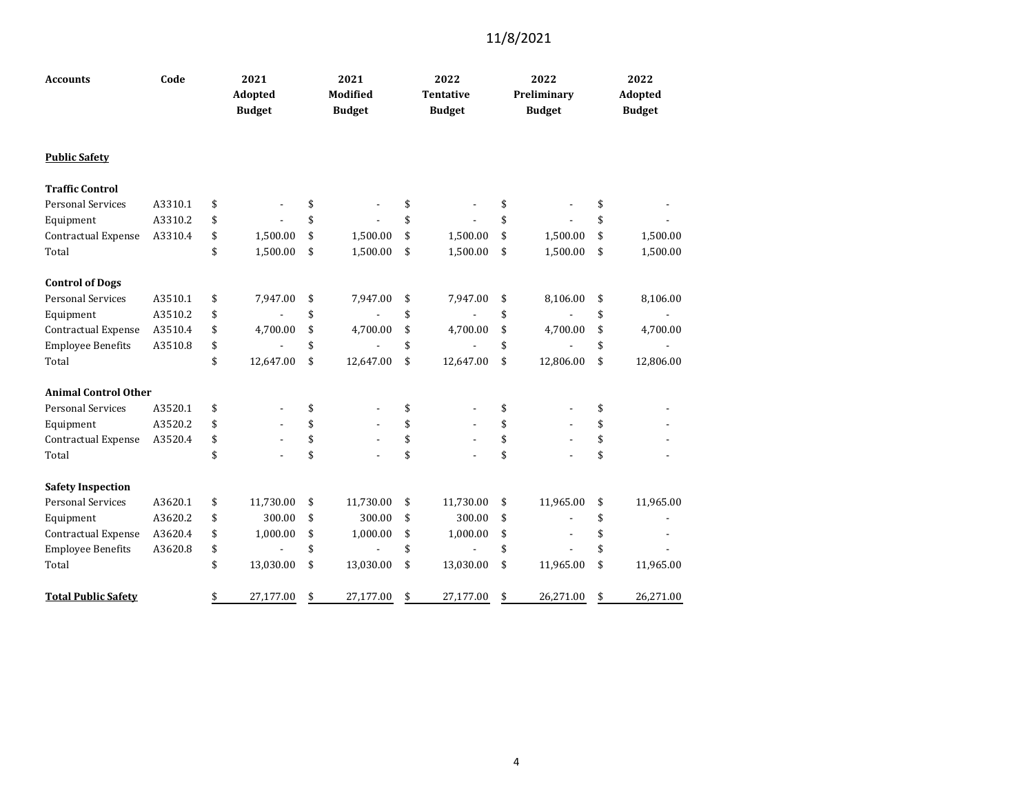| <b>Accounts</b>             | Code    |    | 2021<br>Adopted<br><b>Budget</b> |    | 2021<br><b>Modified</b><br><b>Budget</b> |    | 2022<br><b>Tentative</b><br><b>Budget</b> |    | 2022<br>Preliminary<br><b>Budget</b> |    | 2022<br>Adopted<br><b>Budget</b> |  |  |
|-----------------------------|---------|----|----------------------------------|----|------------------------------------------|----|-------------------------------------------|----|--------------------------------------|----|----------------------------------|--|--|
| <b>Public Safety</b>        |         |    |                                  |    |                                          |    |                                           |    |                                      |    |                                  |  |  |
| <b>Traffic Control</b>      |         |    |                                  |    |                                          |    |                                           |    |                                      |    |                                  |  |  |
| <b>Personal Services</b>    | A3310.1 | \$ |                                  | \$ |                                          | \$ |                                           | \$ |                                      | \$ |                                  |  |  |
| Equipment                   | A3310.2 | \$ |                                  | \$ |                                          | \$ |                                           | \$ |                                      | \$ |                                  |  |  |
| Contractual Expense         | A3310.4 | \$ | 1,500.00                         | \$ | 1,500.00                                 | \$ | 1,500.00                                  | \$ | 1,500.00                             | \$ | 1,500.00                         |  |  |
| Total                       |         | \$ | 1,500.00                         | \$ | 1,500.00                                 | \$ | 1,500.00                                  | \$ | 1,500.00                             | \$ | 1,500.00                         |  |  |
| <b>Control of Dogs</b>      |         |    |                                  |    |                                          |    |                                           |    |                                      |    |                                  |  |  |
| <b>Personal Services</b>    | A3510.1 | \$ | 7,947.00                         | \$ | 7,947.00                                 | \$ | 7,947.00                                  | \$ | 8,106.00                             | \$ | 8,106.00                         |  |  |
| Equipment                   | A3510.2 | \$ |                                  | \$ |                                          | \$ |                                           | \$ |                                      | \$ |                                  |  |  |
| Contractual Expense         | A3510.4 | \$ | 4,700.00                         | \$ | 4,700.00                                 | \$ | 4,700.00                                  | \$ | 4,700.00                             | \$ | 4,700.00                         |  |  |
| <b>Employee Benefits</b>    | A3510.8 | \$ |                                  | \$ |                                          | \$ |                                           | \$ | $\overline{a}$                       | \$ |                                  |  |  |
| Total                       |         | \$ | 12,647.00                        | \$ | 12,647.00                                | \$ | 12,647.00                                 | \$ | 12,806.00                            | \$ | 12,806.00                        |  |  |
| <b>Animal Control Other</b> |         |    |                                  |    |                                          |    |                                           |    |                                      |    |                                  |  |  |
| <b>Personal Services</b>    | A3520.1 | \$ |                                  | \$ |                                          | \$ |                                           | \$ |                                      | \$ |                                  |  |  |
| Equipment                   | A3520.2 | \$ |                                  | \$ |                                          | \$ |                                           | \$ |                                      | \$ |                                  |  |  |
| Contractual Expense         | A3520.4 | \$ |                                  | \$ |                                          | \$ |                                           | \$ |                                      | \$ |                                  |  |  |
| Total                       |         | \$ |                                  | \$ |                                          | \$ |                                           | \$ |                                      | \$ |                                  |  |  |
| <b>Safety Inspection</b>    |         |    |                                  |    |                                          |    |                                           |    |                                      |    |                                  |  |  |
| <b>Personal Services</b>    | A3620.1 | \$ | 11,730.00                        | \$ | 11,730.00                                | \$ | 11,730.00                                 | \$ | 11,965.00                            | \$ | 11,965.00                        |  |  |
| Equipment                   | A3620.2 | \$ | 300.00                           | \$ | 300.00                                   | \$ | 300.00                                    | \$ |                                      | \$ |                                  |  |  |
| Contractual Expense         | A3620.4 | \$ | 1,000.00                         | \$ | 1,000.00                                 | \$ | 1,000.00                                  | \$ |                                      | \$ |                                  |  |  |
| <b>Employee Benefits</b>    | A3620.8 | \$ |                                  | \$ |                                          | \$ |                                           | \$ |                                      | \$ |                                  |  |  |
| Total                       |         | \$ | 13,030.00                        | \$ | 13,030.00                                | \$ | 13,030.00                                 | \$ | 11,965.00                            | \$ | 11,965.00                        |  |  |
| <b>Total Public Safety</b>  |         | \$ | 27,177.00                        | \$ | 27,177.00                                | \$ | 27,177.00                                 | \$ | 26,271.00                            | \$ | 26,271.00                        |  |  |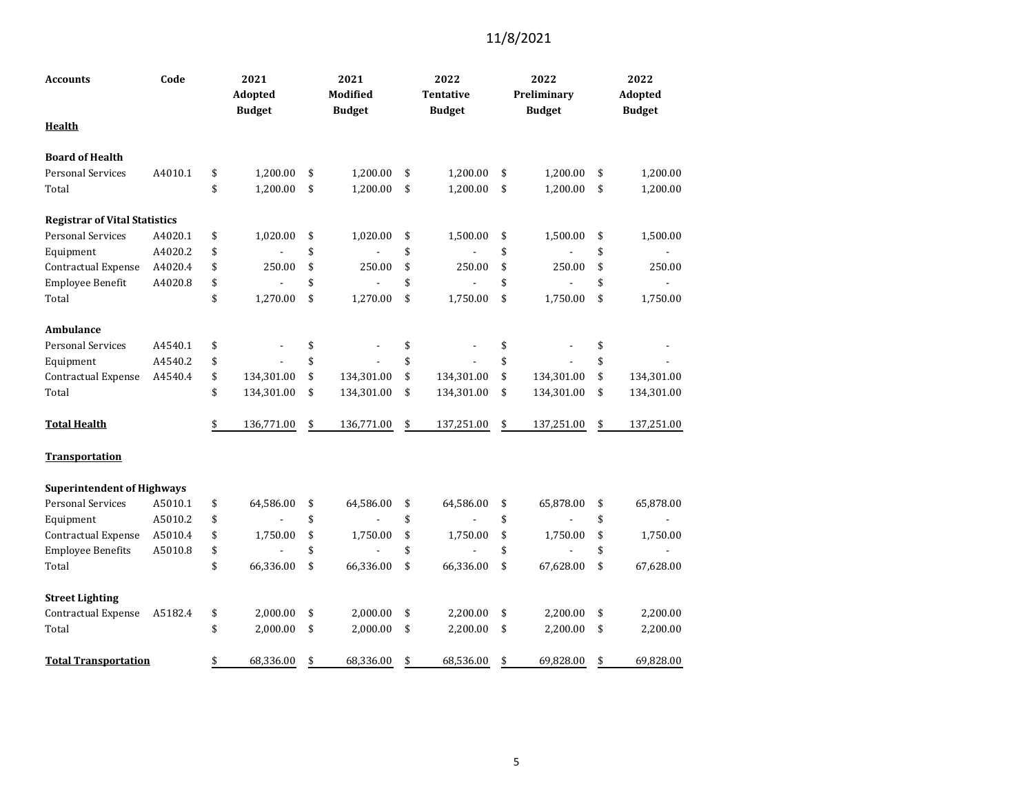| Code<br>Accounts                     |         | 2021<br>Adopted<br><b>Budget</b> |            | 2021<br><b>Modified</b><br><b>Budget</b> |            |    | 2022<br><b>Tentative</b><br><b>Budget</b> |    | 2022<br>Preliminary<br><b>Budget</b> | 2022<br>Adopted<br><b>Budget</b> |
|--------------------------------------|---------|----------------------------------|------------|------------------------------------------|------------|----|-------------------------------------------|----|--------------------------------------|----------------------------------|
| <b>Health</b>                        |         |                                  |            |                                          |            |    |                                           |    |                                      |                                  |
| <b>Board of Health</b>               |         |                                  |            |                                          |            |    |                                           |    |                                      |                                  |
| <b>Personal Services</b>             | A4010.1 | \$                               | 1,200.00   | \$                                       | 1,200.00   | \$ | 1,200.00                                  | \$ | 1,200.00                             | \$<br>1,200.00                   |
| Total                                |         | \$                               | 1,200.00   | \$                                       | 1,200.00   | \$ | 1,200.00                                  | \$ | 1,200.00                             | \$<br>1,200.00                   |
| <b>Registrar of Vital Statistics</b> |         |                                  |            |                                          |            |    |                                           |    |                                      |                                  |
| <b>Personal Services</b>             | A4020.1 | \$                               | 1,020.00   | \$                                       | 1,020.00   | \$ | 1,500.00                                  | \$ | 1,500.00                             | \$<br>1,500.00                   |
| Equipment                            | A4020.2 | \$                               |            | \$                                       |            | \$ |                                           | \$ |                                      | \$                               |
| Contractual Expense                  | A4020.4 | \$                               | 250.00     | \$                                       | 250.00     | \$ | 250.00                                    | \$ | 250.00                               | \$<br>250.00                     |
| Employee Benefit                     | A4020.8 | \$                               |            | \$                                       | ÷,         | \$ |                                           | \$ |                                      | \$                               |
| Total                                |         | \$                               | 1,270.00   | \$                                       | 1,270.00   | \$ | 1,750.00                                  | \$ | 1,750.00                             | \$<br>1,750.00                   |
| Ambulance                            |         |                                  |            |                                          |            |    |                                           |    |                                      |                                  |
| <b>Personal Services</b>             | A4540.1 | \$                               |            | \$                                       |            | \$ |                                           | \$ |                                      | \$                               |
| Equipment                            | A4540.2 | \$                               |            | \$                                       |            | \$ |                                           | \$ |                                      | \$                               |
| Contractual Expense                  | A4540.4 | \$                               | 134,301.00 | \$                                       | 134,301.00 | \$ | 134,301.00                                | \$ | 134,301.00                           | \$<br>134,301.00                 |
| Total                                |         | \$                               | 134,301.00 | \$                                       | 134,301.00 | \$ | 134,301.00                                | \$ | 134,301.00                           | \$<br>134,301.00                 |
| <b>Total Health</b>                  |         | \$                               | 136,771.00 | \$                                       | 136,771.00 | \$ | 137,251.00                                | \$ | 137,251.00                           | \$<br>137,251.00                 |
| <b>Transportation</b>                |         |                                  |            |                                          |            |    |                                           |    |                                      |                                  |
| <b>Superintendent of Highways</b>    |         |                                  |            |                                          |            |    |                                           |    |                                      |                                  |
| <b>Personal Services</b>             | A5010.1 | \$                               | 64,586.00  | \$                                       | 64,586.00  | \$ | 64,586.00                                 | \$ | 65,878.00                            | \$<br>65,878.00                  |
| Equipment                            | A5010.2 | \$                               |            | \$                                       |            | \$ |                                           | \$ |                                      | \$                               |
| Contractual Expense                  | A5010.4 | \$                               | 1,750.00   | \$                                       | 1,750.00   | \$ | 1,750.00                                  | \$ | 1,750.00                             | \$<br>1,750.00                   |
| <b>Employee Benefits</b>             | A5010.8 | \$                               |            | \$                                       |            | \$ |                                           | \$ |                                      | \$                               |
| Total                                |         | \$                               | 66,336.00  | \$                                       | 66,336.00  | \$ | 66,336.00                                 | \$ | 67,628.00                            | \$<br>67,628.00                  |
| <b>Street Lighting</b>               |         |                                  |            |                                          |            |    |                                           |    |                                      |                                  |
| Contractual Expense                  | A5182.4 | \$                               | 2,000.00   | \$                                       | 2,000.00   | \$ | 2,200.00                                  | \$ | 2,200.00                             | \$<br>2,200.00                   |
| Total                                |         | \$                               | 2,000.00   | \$                                       | 2,000.00   | \$ | 2,200.00                                  | \$ | 2,200.00                             | \$<br>2,200.00                   |
| <b>Total Transportation</b>          |         | \$                               | 68,336.00  | \$                                       | 68,336.00  | \$ | 68,536.00                                 | \$ | 69,828.00                            | \$<br>69,828.00                  |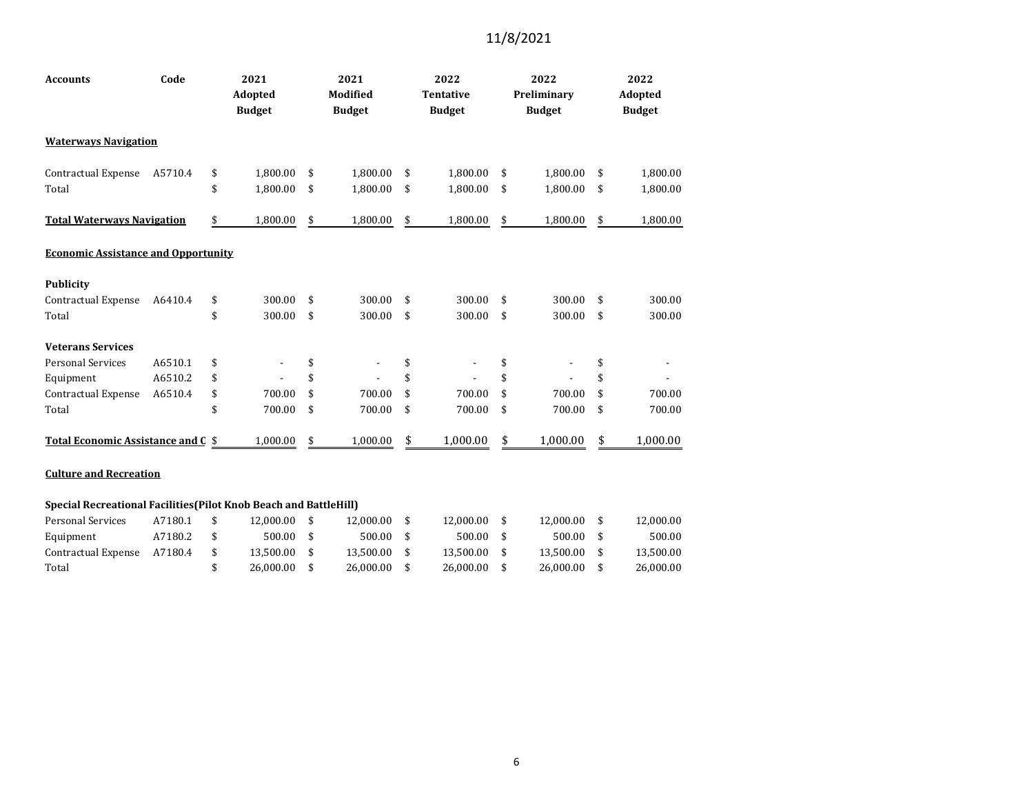| <b>Accounts</b>                                                          | Code                          |    | 2021<br>Adopted<br><b>Budget</b> |    | 2021<br><b>Modified</b><br><b>Budget</b> |    | 2022<br><b>Tentative</b><br><b>Budget</b> |    | 2022<br>Preliminary<br><b>Budget</b> |    | 2022<br>Adopted<br><b>Budget</b> |
|--------------------------------------------------------------------------|-------------------------------|----|----------------------------------|----|------------------------------------------|----|-------------------------------------------|----|--------------------------------------|----|----------------------------------|
| <b>Waterways Navigation</b>                                              |                               |    |                                  |    |                                          |    |                                           |    |                                      |    |                                  |
| Contractual Expense                                                      | A5710.4                       | \$ | 1,800.00                         | \$ | 1,800.00                                 | \$ | 1,800.00                                  | \$ | 1,800.00                             | \$ | 1,800.00                         |
| Total                                                                    |                               | \$ | 1,800.00                         | \$ | 1,800.00                                 | \$ | 1,800.00                                  | \$ | 1,800.00                             | \$ | 1,800.00                         |
| <b>Total Waterways Navigation</b>                                        |                               | \$ | 1,800.00                         | \$ | 1,800.00                                 | \$ | 1,800.00                                  | \$ | 1,800.00                             | \$ | 1,800.00                         |
| <b>Economic Assistance and Opportunity</b>                               |                               |    |                                  |    |                                          |    |                                           |    |                                      |    |                                  |
| <b>Publicity</b>                                                         |                               |    |                                  |    |                                          |    |                                           |    |                                      |    |                                  |
| Contractual Expense                                                      | A6410.4                       | \$ | 300.00                           | \$ | 300.00                                   | \$ | 300.00                                    | \$ | 300.00                               | \$ | 300.00                           |
| Total                                                                    |                               | \$ | 300.00                           | \$ | 300.00                                   | \$ | 300.00                                    | \$ | 300.00                               | \$ | 300.00                           |
| <b>Veterans Services</b>                                                 |                               |    |                                  |    |                                          |    |                                           |    |                                      |    |                                  |
| <b>Personal Services</b>                                                 | A6510.1                       | \$ |                                  | \$ |                                          | \$ | ٠                                         | \$ |                                      | \$ |                                  |
| Equipment                                                                | A6510.2                       | \$ |                                  | \$ |                                          | \$ |                                           | \$ |                                      | \$ |                                  |
| Contractual Expense                                                      | A6510.4                       | \$ | 700.00                           | \$ | 700.00                                   | \$ | 700.00                                    | \$ | 700.00                               | \$ | 700.00                           |
| Total                                                                    |                               | \$ | 700.00                           | \$ | 700.00                                   | \$ | 700.00                                    | \$ | 700.00                               | \$ | 700.00                           |
| Total Economic Assistance and C \$                                       |                               |    | 1,000.00                         | \$ | 1,000.00                                 | \$ | 1,000.00                                  | \$ | 1,000.00                             | \$ | 1,000.00                         |
|                                                                          | <b>Culture and Recreation</b> |    |                                  |    |                                          |    |                                           |    |                                      |    |                                  |
| <b>Special Recreational Facilities (Pilot Knob Beach and BattleHill)</b> |                               |    |                                  |    |                                          |    |                                           |    |                                      |    |                                  |

| Personal Services   | A7180.1 |  | 12.000.00 |  | 12.000.00 |  | 12.000.00 |  | 12.000.00 |  | 12.000.00 |  |  |
|---------------------|---------|--|-----------|--|-----------|--|-----------|--|-----------|--|-----------|--|--|
| Equipment           | A7180.2 |  | 500.00    |  | 500.00    |  | 500.00    |  | 500.00    |  | 500.00    |  |  |
| Contractual Expense | A7180.4 |  | 13.500.00 |  | 13.500.00 |  | 13.500.00 |  | 13.500.00 |  | 13.500.00 |  |  |
| Total               |         |  | 26.000.00 |  | 26.000.00 |  | 26.000.00 |  | 26.000.00 |  | 26,000,00 |  |  |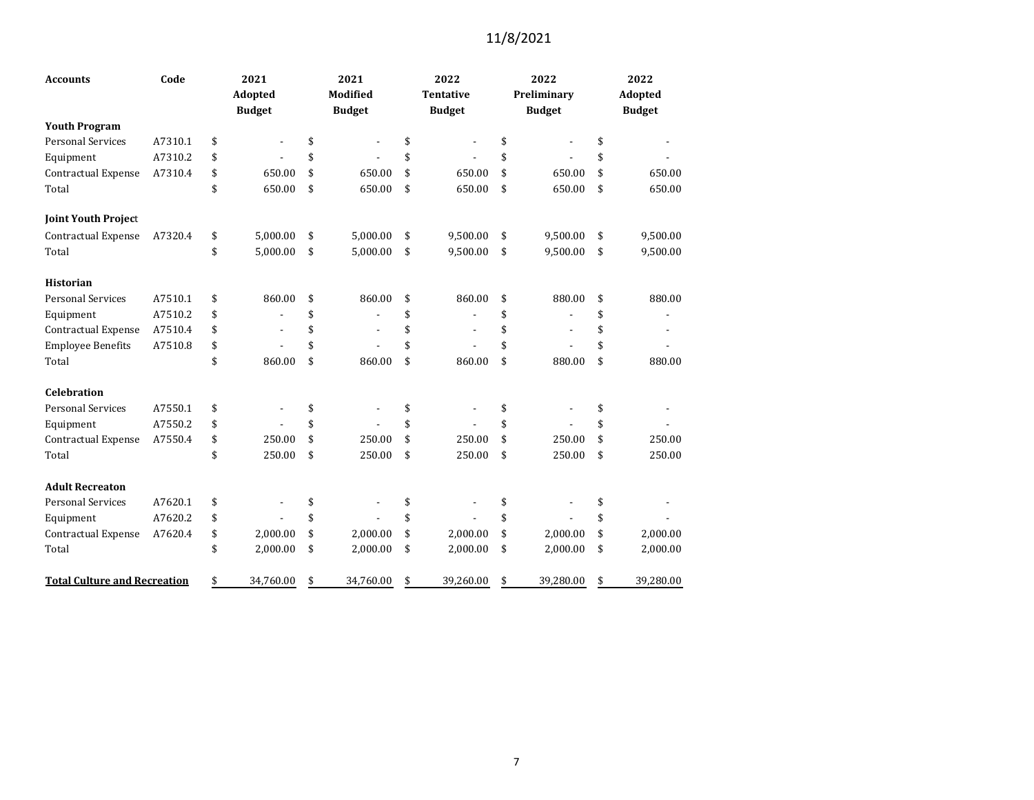| <b>Accounts</b>                     | Code    | 2021                           | 2021                           | 2022                           | 2022                 | 2022            |
|-------------------------------------|---------|--------------------------------|--------------------------------|--------------------------------|----------------------|-----------------|
|                                     |         | Adopted                        | Modified                       | <b>Tentative</b>               | Preliminary          | Adopted         |
|                                     |         | <b>Budget</b>                  | <b>Budget</b>                  | <b>Budget</b>                  | <b>Budget</b>        | <b>Budget</b>   |
| <b>Youth Program</b>                |         |                                |                                |                                |                      |                 |
| <b>Personal Services</b>            | A7310.1 | \$                             | \$                             | \$                             | \$                   | \$              |
| Equipment                           | A7310.2 | \$                             | \$                             | \$                             | \$                   | \$              |
| Contractual Expense                 | A7310.4 | \$<br>650.00                   | \$<br>650.00                   | \$<br>650.00                   | \$<br>650.00         | \$<br>650.00    |
| Total                               |         | \$<br>650.00                   | \$<br>650.00                   | \$<br>650.00                   | \$<br>650.00         | \$<br>650.00    |
| <b>Joint Youth Project</b>          |         |                                |                                |                                |                      |                 |
| <b>Contractual Expense</b>          | A7320.4 | \$<br>5.000.00                 | \$<br>5,000.00                 | \$<br>9,500.00                 | \$<br>9,500.00       | \$<br>9,500.00  |
| Total                               |         | \$<br>5,000.00                 | \$<br>5,000.00                 | \$<br>9,500.00                 | \$<br>9,500.00       | \$<br>9,500.00  |
| <b>Historian</b>                    |         |                                |                                |                                |                      |                 |
| <b>Personal Services</b>            | A7510.1 | \$<br>860.00                   | \$<br>860.00                   | \$<br>860.00                   | \$<br>880.00         | \$<br>880.00    |
| Equipment                           | A7510.2 | \$                             | \$                             | \$                             | \$                   | \$              |
| Contractual Expense                 | A7510.4 | \$<br>$\overline{\phantom{a}}$ | \$<br>$\overline{\phantom{a}}$ | \$<br>$\overline{\phantom{a}}$ | \$<br>$\blacksquare$ | \$              |
| <b>Employee Benefits</b>            | A7510.8 | \$                             | \$                             | \$                             | \$                   | \$              |
| Total                               |         | \$<br>860.00                   | \$<br>860.00                   | \$<br>860.00                   | \$<br>880.00         | \$<br>880.00    |
| <b>Celebration</b>                  |         |                                |                                |                                |                      |                 |
| <b>Personal Services</b>            | A7550.1 | \$                             | \$                             | \$                             | \$                   | \$              |
| Equipment                           | A7550.2 | \$                             | \$                             | \$                             | \$                   | \$              |
| Contractual Expense                 | A7550.4 | \$<br>250.00                   | \$<br>250.00                   | \$<br>250.00                   | \$<br>250.00         | \$<br>250.00    |
| Total                               |         | \$<br>250.00                   | \$<br>250.00                   | \$<br>250.00                   | \$<br>250.00         | \$<br>250.00    |
| <b>Adult Recreaton</b>              |         |                                |                                |                                |                      |                 |
| <b>Personal Services</b>            | A7620.1 | \$                             | \$                             | \$                             | \$                   | \$              |
| Equipment                           | A7620.2 | \$                             | \$                             | \$                             | \$                   | \$              |
| <b>Contractual Expense</b>          | A7620.4 | \$<br>2,000.00                 | \$<br>2,000.00                 | \$<br>2,000.00                 | \$<br>2,000.00       | \$<br>2,000.00  |
| Total                               |         | \$<br>2,000.00                 | \$<br>2,000.00                 | \$<br>2,000.00                 | \$<br>2,000.00       | \$<br>2,000.00  |
| <b>Total Culture and Recreation</b> |         | \$<br>34,760.00                | \$<br>34,760.00                | \$<br>39,260.00                | \$<br>39,280.00      | \$<br>39,280.00 |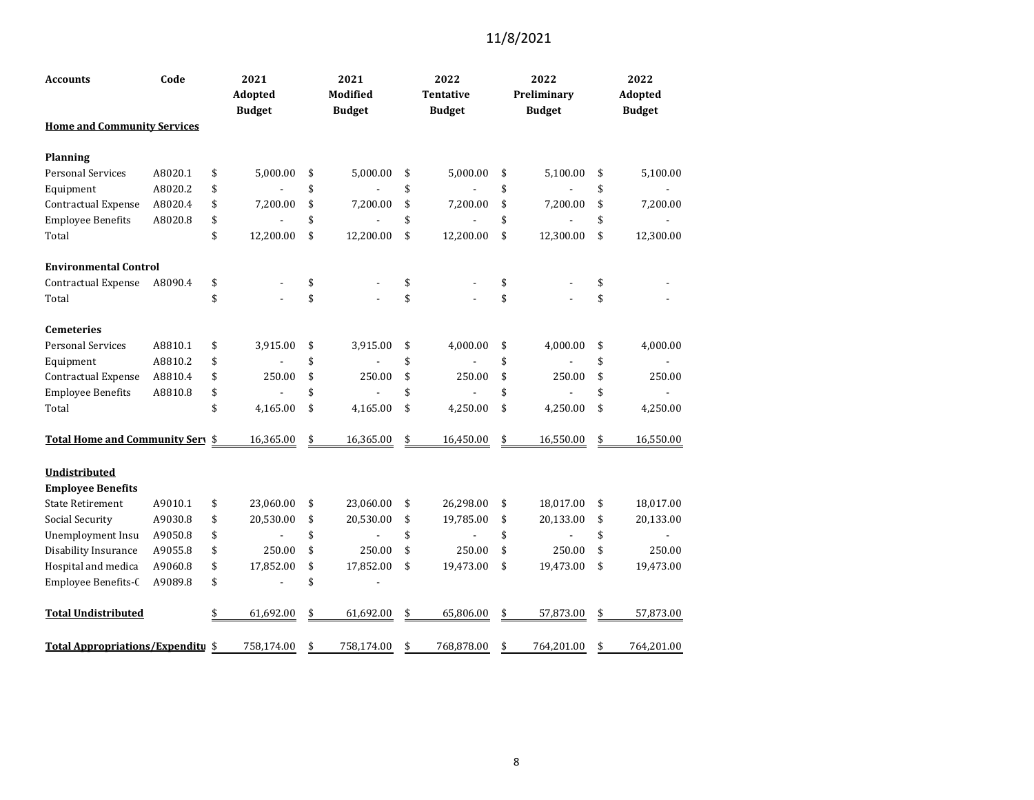| Code<br><b>Accounts</b>                   |         | 2021<br>Adopted<br><b>Budget</b> |                          | 2021<br><b>Modified</b><br><b>Budget</b> |                          |    | 2022<br>Tentative<br><b>Budget</b> |    | 2022<br>Preliminary<br><b>Budget</b> | 2022<br>Adopted<br><b>Budget</b> |
|-------------------------------------------|---------|----------------------------------|--------------------------|------------------------------------------|--------------------------|----|------------------------------------|----|--------------------------------------|----------------------------------|
| <b>Home and Community Services</b>        |         |                                  |                          |                                          |                          |    |                                    |    |                                      |                                  |
| Planning                                  |         |                                  |                          |                                          |                          |    |                                    |    |                                      |                                  |
| <b>Personal Services</b>                  | A8020.1 | \$                               | 5,000.00                 | \$                                       | 5,000.00                 | \$ | 5,000.00                           | \$ | 5,100.00                             | \$<br>5,100.00                   |
| Equipment                                 | A8020.2 | \$                               |                          | \$                                       |                          | \$ |                                    | \$ |                                      | \$                               |
| Contractual Expense                       | A8020.4 | \$                               | 7,200.00                 | \$                                       | 7,200.00                 | \$ | 7,200.00                           | \$ | 7,200.00                             | \$<br>7,200.00                   |
| <b>Employee Benefits</b>                  | A8020.8 | \$                               |                          | \$                                       | $\overline{a}$           | \$ |                                    | \$ |                                      | \$                               |
| Total                                     |         | \$                               | 12,200.00                | \$                                       | 12,200.00                | \$ | 12,200.00                          | \$ | 12,300.00                            | \$<br>12,300.00                  |
| <b>Environmental Control</b>              |         |                                  |                          |                                          |                          |    |                                    |    |                                      |                                  |
| Contractual Expense                       | A8090.4 | \$                               |                          | \$                                       |                          | \$ |                                    | \$ |                                      | \$                               |
| Total                                     |         | \$                               |                          | \$                                       |                          | \$ |                                    | \$ |                                      | \$                               |
| <b>Cemeteries</b>                         |         |                                  |                          |                                          |                          |    |                                    |    |                                      |                                  |
| <b>Personal Services</b>                  | A8810.1 | \$                               | 3,915.00                 | \$                                       | 3,915.00                 | \$ | 4,000.00                           | \$ | 4,000.00                             | \$<br>4,000.00                   |
| Equipment                                 | A8810.2 | \$                               |                          | \$                                       |                          | \$ |                                    | \$ |                                      | \$                               |
| Contractual Expense                       | A8810.4 | \$                               | 250.00                   | \$                                       | 250.00                   | \$ | 250.00                             | \$ | 250.00                               | \$<br>250.00                     |
| <b>Employee Benefits</b>                  | A8810.8 | \$                               |                          | \$                                       |                          | \$ |                                    | \$ |                                      | \$                               |
| Total                                     |         | \$                               | 4,165.00                 | \$                                       | 4,165.00                 | \$ | 4,250.00                           | \$ | 4,250.00                             | \$<br>4,250.00                   |
| Total Home and Community Sery \$          |         |                                  | 16,365.00                | \$                                       | 16,365.00                | \$ | 16,450.00                          | \$ | 16,550.00                            | \$<br>16,550.00                  |
| Undistributed<br><b>Employee Benefits</b> |         |                                  |                          |                                          |                          |    |                                    |    |                                      |                                  |
| <b>State Retirement</b>                   | A9010.1 | \$                               | 23,060.00                | \$                                       | 23,060.00                | \$ | 26,298.00                          | \$ | 18,017.00                            | \$<br>18,017.00                  |
| <b>Social Security</b>                    | A9030.8 | \$                               | 20,530.00                | \$                                       | 20,530.00                | \$ | 19,785.00                          | \$ | 20,133.00                            | \$<br>20,133.00                  |
| Unemployment Insu                         | A9050.8 | \$                               | $\overline{\phantom{a}}$ | \$                                       | $\overline{\phantom{a}}$ | \$ | $\overline{\phantom{a}}$           | \$ | $\blacksquare$                       | \$<br>$\overline{\phantom{a}}$   |
| Disability Insurance                      | A9055.8 | \$                               | 250.00                   | \$                                       | 250.00                   | \$ | 250.00                             | \$ | 250.00                               | \$<br>250.00                     |
| Hospital and medica                       | A9060.8 | \$                               | 17,852.00                | \$                                       | 17,852.00                | \$ | 19,473.00                          | \$ | 19,473.00                            | \$<br>19,473.00                  |
| Employee Benefits-C                       | A9089.8 | \$                               |                          | \$                                       |                          |    |                                    |    |                                      |                                  |
| <b>Total Undistributed</b>                |         | \$                               | 61,692.00                | \$                                       | 61,692.00                | \$ | 65,806.00                          | \$ | 57,873.00                            | \$<br>57,873.00                  |
| <b>Total Appropriations/Expenditu \$</b>  |         |                                  | 758,174.00               | \$                                       | 758,174.00               | \$ | 768,878.00                         | \$ | 764,201.00                           | \$<br>764,201.00                 |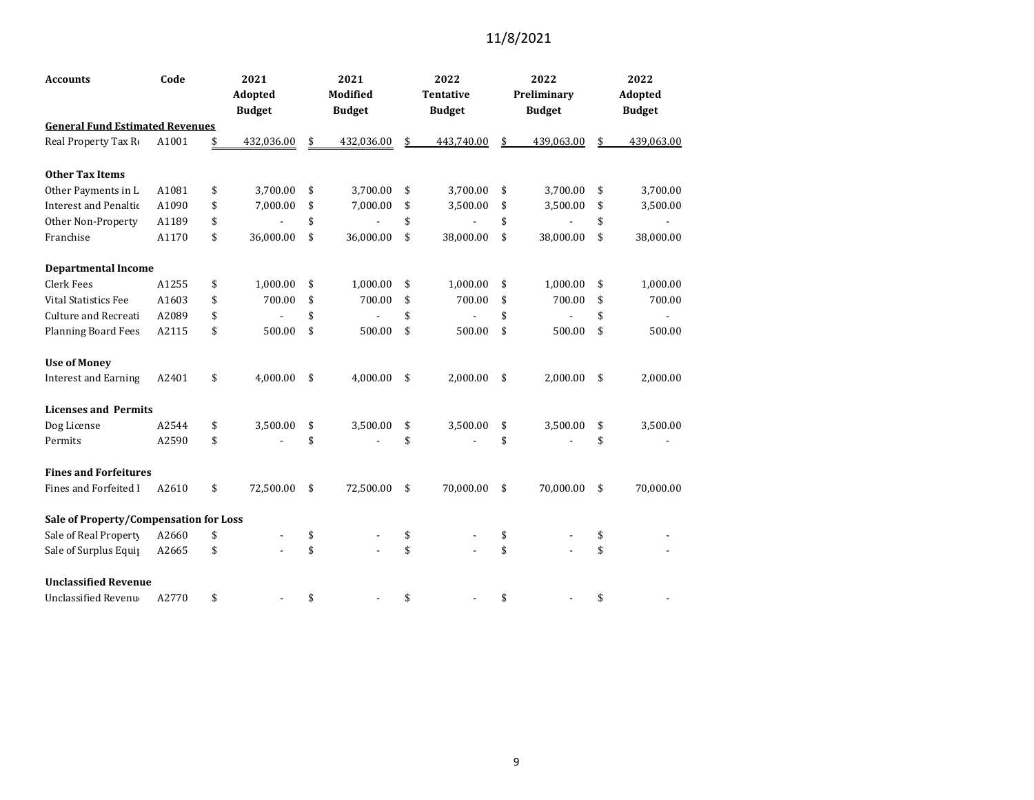| <b>Accounts</b>                        | Code  | 2021             |    | 2021          | 2022             | 2022             | 2022             |
|----------------------------------------|-------|------------------|----|---------------|------------------|------------------|------------------|
|                                        |       | Adopted          |    | Modified      | <b>Tentative</b> | Preliminary      | Adopted          |
|                                        |       | <b>Budget</b>    |    | <b>Budget</b> | <b>Budget</b>    | <b>Budget</b>    | <b>Budget</b>    |
| <b>General Fund Estimated Revenues</b> |       |                  |    |               |                  |                  |                  |
| Real Property Tax Ro                   | A1001 | \$<br>432,036.00 | \$ | 432,036.00    | \$<br>443.740.00 | \$<br>439,063.00 | \$<br>439,063.00 |
| <b>Other Tax Items</b>                 |       |                  |    |               |                  |                  |                  |
| Other Payments in L                    | A1081 | \$<br>3,700.00   | \$ | 3,700.00      | \$<br>3,700.00   | \$<br>3,700.00   | \$<br>3,700.00   |
| <b>Interest and Penaltic</b>           | A1090 | \$<br>7,000.00   | \$ | 7,000.00      | \$<br>3,500.00   | \$<br>3,500.00   | \$<br>3,500.00   |
| Other Non-Property                     | A1189 | \$               | \$ |               | \$               | \$               | \$               |
| Franchise                              | A1170 | \$<br>36,000.00  | \$ | 36,000.00     | \$<br>38,000.00  | \$<br>38,000.00  | \$<br>38,000.00  |
| <b>Departmental Income</b>             |       |                  |    |               |                  |                  |                  |
| <b>Clerk Fees</b>                      | A1255 | \$<br>1,000.00   | \$ | 1,000.00      | \$<br>1,000.00   | \$<br>1,000.00   | \$<br>1,000.00   |
| <b>Vital Statistics Fee</b>            | A1603 | \$<br>700.00     | \$ | 700.00        | \$<br>700.00     | \$<br>700.00     | \$<br>700.00     |
| Culture and Recreati                   | A2089 | \$               | \$ |               | \$               | \$               | \$               |
| <b>Planning Board Fees</b>             | A2115 | \$<br>500.00     | \$ | 500.00        | \$<br>500.00     | \$<br>500.00     | \$<br>500.00     |
| <b>Use of Money</b>                    |       |                  |    |               |                  |                  |                  |
| <b>Interest and Earning</b>            | A2401 | \$<br>4,000.00   | \$ | 4,000.00      | \$<br>2,000.00   | \$<br>2,000.00   | \$<br>2,000.00   |
| <b>Licenses and Permits</b>            |       |                  |    |               |                  |                  |                  |
| Dog License                            | A2544 | \$<br>3,500.00   | \$ | 3,500.00      | \$<br>3,500.00   | \$<br>3,500.00   | \$<br>3,500.00   |
| Permits                                | A2590 | \$               | \$ |               | \$               | \$               | \$               |
| <b>Fines and Forfeitures</b>           |       |                  |    |               |                  |                  |                  |
| Fines and Forfeited I                  | A2610 | \$<br>72,500.00  | \$ | 72,500.00     | \$<br>70,000.00  | \$<br>70,000.00  | \$<br>70,000.00  |
| Sale of Property/Compensation for Loss |       |                  |    |               |                  |                  |                  |
| Sale of Real Property                  | A2660 | \$               | \$ |               | \$               | \$               | \$               |
| Sale of Surplus Equip                  | A2665 | \$               | \$ |               | \$               | \$               | \$               |
| <b>Unclassified Revenue</b>            |       |                  |    |               |                  |                  |                  |
| Unclassified Revenu                    | A2770 | \$               | \$ |               | \$               | \$               | \$               |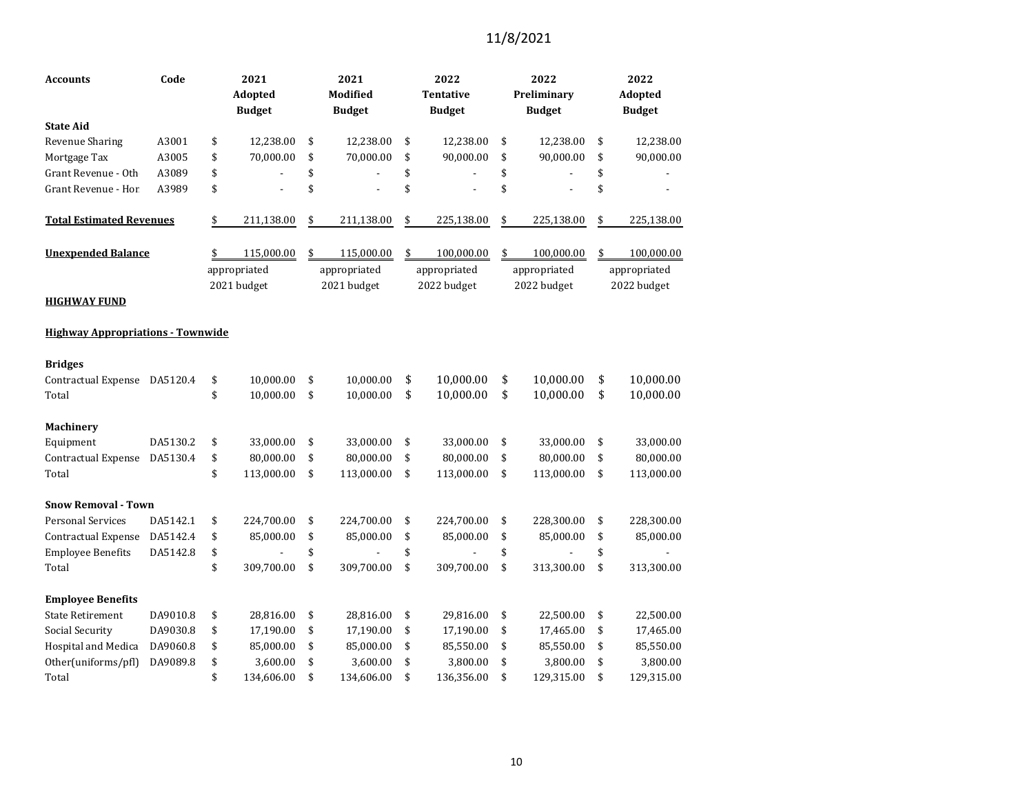| Code<br><b>Accounts</b>                  |          | 2021<br><b>Adopted</b><br><b>Budget</b> |              | 2021<br><b>Modified</b><br><b>Budget</b> |              | 2022<br><b>Tentative</b><br><b>Budget</b> |             |    | 2022<br>Preliminary<br><b>Budget</b> | 2022<br>Adopted<br><b>Budget</b> |
|------------------------------------------|----------|-----------------------------------------|--------------|------------------------------------------|--------------|-------------------------------------------|-------------|----|--------------------------------------|----------------------------------|
| <b>State Aid</b>                         |          |                                         |              |                                          |              |                                           |             |    |                                      |                                  |
| Revenue Sharing                          | A3001    | \$                                      | 12,238.00    | \$                                       | 12,238.00    | \$                                        | 12,238.00   | \$ | 12,238.00                            | \$<br>12,238.00                  |
| Mortgage Tax                             | A3005    | \$                                      | 70,000.00    | \$                                       | 70,000.00    | \$                                        | 90,000.00   | \$ | 90,000.00                            | \$<br>90,000.00                  |
| Grant Revenue - Oth                      | A3089    | \$                                      |              | \$                                       |              | \$                                        |             | \$ |                                      | \$                               |
| Grant Revenue - Hor                      | A3989    | \$                                      |              | \$                                       |              | \$                                        |             | \$ |                                      | \$                               |
| <b>Total Estimated Revenues</b>          |          | \$                                      | 211,138.00   | \$                                       | 211,138.00   | \$                                        | 225,138.00  | \$ | 225,138.00                           | \$<br>225,138.00                 |
| <b>Unexpended Balance</b>                |          | \$                                      | 115,000.00   | \$                                       | 115,000.00   | \$                                        | 100,000.00  | \$ | 100,000.00                           | \$<br>100,000.00                 |
|                                          |          |                                         | appropriated |                                          | appropriated | appropriated                              |             |    | appropriated                         | appropriated                     |
| <b>HIGHWAY FUND</b>                      |          |                                         | 2021 budget  |                                          | 2021 budget  |                                           | 2022 budget |    | 2022 budget                          | 2022 budget                      |
| <b>Highway Appropriations - Townwide</b> |          |                                         |              |                                          |              |                                           |             |    |                                      |                                  |
| <b>Bridges</b>                           |          |                                         |              |                                          |              |                                           |             |    |                                      |                                  |
| Contractual Expense                      | DA5120.4 | \$                                      | 10,000.00    | \$                                       | 10,000.00    | \$                                        | 10,000.00   | \$ | 10,000.00                            | \$<br>10,000.00                  |
| Total                                    |          | \$                                      | 10,000.00    | \$                                       | 10,000.00    | \$                                        | 10,000.00   | \$ | 10,000.00                            | \$<br>10,000.00                  |
| <b>Machinery</b>                         |          |                                         |              |                                          |              |                                           |             |    |                                      |                                  |
| Equipment                                | DA5130.2 | \$                                      | 33,000.00    | \$                                       | 33,000.00    | \$                                        | 33,000.00   | \$ | 33,000.00                            | \$<br>33,000.00                  |
| Contractual Expense                      | DA5130.4 | \$                                      | 80,000.00    | \$                                       | 80,000.00    | \$                                        | 80,000.00   | \$ | 80,000.00                            | \$<br>80,000.00                  |
| Total                                    |          | \$                                      | 113,000.00   | \$                                       | 113,000.00   | \$                                        | 113,000.00  | \$ | 113,000.00                           | \$<br>113,000.00                 |
| <b>Snow Removal - Town</b>               |          |                                         |              |                                          |              |                                           |             |    |                                      |                                  |
| <b>Personal Services</b>                 | DA5142.1 | \$                                      | 224,700.00   | \$                                       | 224,700.00   | \$                                        | 224,700.00  | \$ | 228,300.00                           | \$<br>228,300.00                 |
| Contractual Expense                      | DA5142.4 | \$                                      | 85,000.00    | \$                                       | 85,000.00    | \$                                        | 85,000.00   | \$ | 85,000.00                            | \$<br>85,000.00                  |
| <b>Employee Benefits</b>                 | DA5142.8 | \$                                      |              | \$                                       |              | \$                                        |             | \$ |                                      | \$                               |
| Total                                    |          | \$                                      | 309,700.00   | \$                                       | 309,700.00   | \$                                        | 309,700.00  | \$ | 313,300.00                           | \$<br>313,300.00                 |
| <b>Employee Benefits</b>                 |          |                                         |              |                                          |              |                                           |             |    |                                      |                                  |
| <b>State Retirement</b>                  | DA9010.8 | \$                                      | 28,816.00    | \$                                       | 28,816.00    | \$                                        | 29,816.00   | \$ | 22,500.00                            | \$<br>22,500.00                  |
| Social Security                          | DA9030.8 | \$                                      | 17,190.00    | \$                                       | 17,190.00    | \$                                        | 17,190.00   | \$ | 17,465.00                            | \$<br>17,465.00                  |
| Hospital and Medica                      | DA9060.8 | \$                                      | 85,000.00    | \$                                       | 85,000.00    | \$                                        | 85,550.00   | \$ | 85,550.00                            | \$<br>85,550.00                  |
| Other(uniforms/pfl)                      | DA9089.8 | \$                                      | 3,600.00     | \$                                       | 3,600.00     | \$                                        | 3,800.00    | \$ | 3,800.00                             | \$<br>3,800.00                   |
| Total                                    |          | \$                                      | 134,606.00   | \$                                       | 134,606.00   | \$                                        | 136,356.00  | \$ | 129,315.00                           | \$<br>129,315.00                 |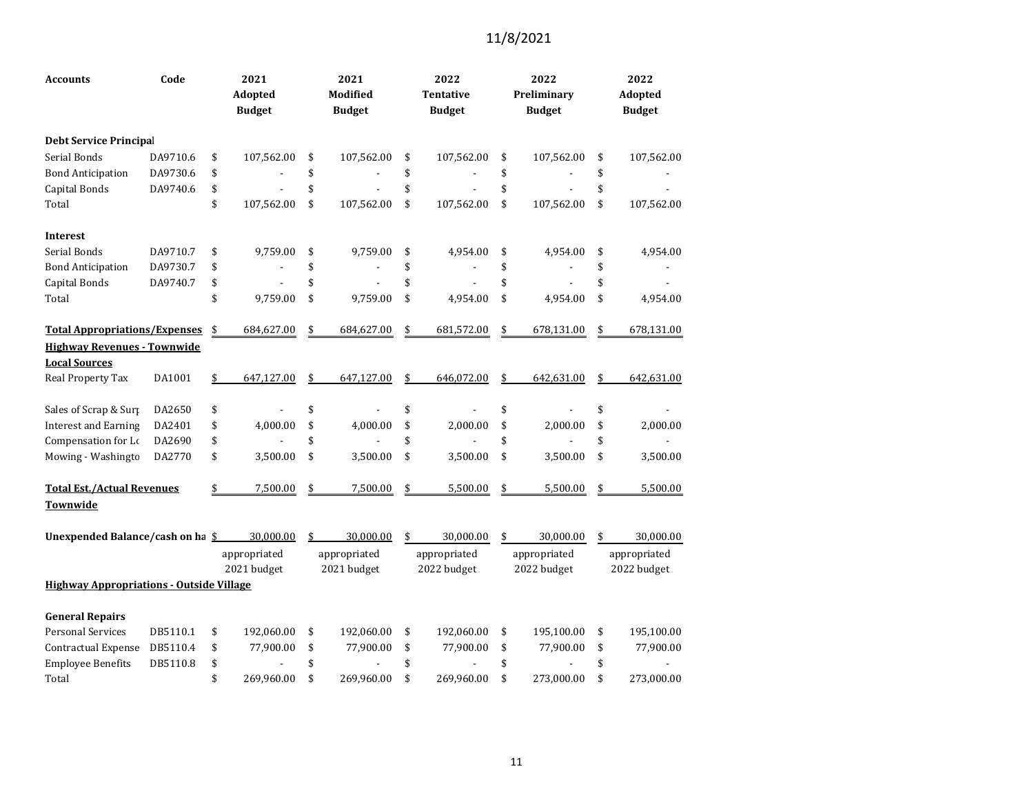| <b>Accounts</b>                      | Code                                            |    | 2021<br>Adopted<br><b>Budget</b> |    | 2021<br>Modified<br><b>Budget</b> | 2022<br><b>Tentative</b><br><b>Budget</b> | 2022<br>Preliminary<br><b>Budget</b> | 2022<br>Adopted<br><b>Budget</b> |
|--------------------------------------|-------------------------------------------------|----|----------------------------------|----|-----------------------------------|-------------------------------------------|--------------------------------------|----------------------------------|
| <b>Debt Service Principal</b>        |                                                 |    |                                  |    |                                   |                                           |                                      |                                  |
| Serial Bonds                         | DA9710.6                                        | \$ | 107,562.00                       | \$ | 107,562.00                        | \$<br>107,562.00                          | \$<br>107,562.00                     | \$<br>107,562.00                 |
| <b>Bond Anticipation</b>             | DA9730.6                                        | \$ |                                  | \$ |                                   | \$                                        | \$                                   | \$                               |
| Capital Bonds                        | DA9740.6                                        | \$ |                                  | \$ |                                   | \$                                        | \$                                   | \$                               |
| Total                                |                                                 | \$ | 107,562.00                       | \$ | 107,562.00                        | \$<br>107,562.00                          | \$<br>107,562.00                     | \$<br>107,562.00                 |
| <b>Interest</b>                      |                                                 |    |                                  |    |                                   |                                           |                                      |                                  |
| Serial Bonds                         | DA9710.7                                        | \$ | 9,759.00                         | \$ | 9,759.00                          | \$<br>4,954.00                            | \$<br>4,954.00                       | \$<br>4,954.00                   |
| <b>Bond Anticipation</b>             | DA9730.7                                        | \$ |                                  | \$ |                                   | \$                                        | \$                                   | \$                               |
| Capital Bonds                        | DA9740.7                                        | \$ |                                  | \$ |                                   | \$                                        | \$                                   | \$                               |
| Total                                |                                                 | \$ | 9,759.00                         | \$ | 9,759.00                          | \$<br>4,954.00                            | \$<br>4,954.00                       | \$<br>4,954.00                   |
| <b>Total Appropriations/Expenses</b> |                                                 | \$ | 684,627.00                       | \$ | 684,627.00                        | \$<br>681,572.00                          | \$<br>678,131.00                     | \$<br>678,131.00                 |
| <b>Highway Revenues - Townwide</b>   |                                                 |    |                                  |    |                                   |                                           |                                      |                                  |
| <b>Local Sources</b>                 |                                                 |    |                                  |    |                                   |                                           |                                      |                                  |
| Real Property Tax                    | DA1001                                          | \$ | 647,127.00                       | \$ | 647,127.00                        | \$<br>646,072.00                          | \$<br>642,631.00                     | \$<br>642,631.00                 |
| Sales of Scrap & Surp                | DA2650                                          | \$ |                                  | \$ |                                   | \$                                        | \$                                   | \$                               |
| <b>Interest and Earning</b>          | DA2401                                          | \$ | 4,000.00                         | \$ | 4,000.00                          | \$<br>2,000.00                            | \$<br>2,000.00                       | \$<br>2,000.00                   |
| Compensation for Lo                  | DA2690                                          | \$ |                                  | \$ |                                   | \$                                        | \$                                   | \$                               |
| Mowing - Washingto                   | DA2770                                          | \$ | 3,500.00                         | \$ | 3,500.00                          | \$<br>3,500.00                            | \$<br>3,500.00                       | \$<br>3,500.00                   |
| <b>Total Est./Actual Revenues</b>    |                                                 | \$ | 7,500.00                         | \$ | 7,500.00                          | \$<br>5,500.00                            | \$<br>5,500.00                       | \$<br>5,500.00                   |
| Townwide                             |                                                 |    |                                  |    |                                   |                                           |                                      |                                  |
| Unexpended Balance/cash on ha \$     |                                                 |    | 30,000.00                        | \$ | 30,000.00                         | \$<br>30,000.00                           | \$<br>30,000.00                      | \$<br>30,000.00                  |
|                                      |                                                 |    | appropriated                     |    | appropriated                      | appropriated                              | appropriated                         | appropriated                     |
|                                      |                                                 |    | 2021 budget                      |    | 2021 budget                       | 2022 budget                               | 2022 budget                          | 2022 budget                      |
|                                      | <b>Highway Appropriations - Outside Village</b> |    |                                  |    |                                   |                                           |                                      |                                  |
| <b>General Repairs</b>               |                                                 |    |                                  |    |                                   |                                           |                                      |                                  |
| <b>Personal Services</b>             | DB5110.1                                        | \$ | 192,060.00                       | \$ | 192,060.00                        | \$<br>192,060.00                          | \$<br>195,100.00                     | \$<br>195,100.00                 |
| Contractual Expense                  | DB5110.4                                        | \$ | 77,900.00                        | \$ | 77,900.00                         | \$<br>77,900.00                           | \$<br>77,900.00                      | \$<br>77,900.00                  |
| <b>Employee Benefits</b>             | DB5110.8                                        | \$ |                                  | \$ |                                   | \$                                        | \$                                   | \$                               |
| Total                                |                                                 | \$ | 269,960.00                       | \$ | 269,960.00                        | \$<br>269,960.00                          | \$<br>273,000.00                     | \$<br>273,000.00                 |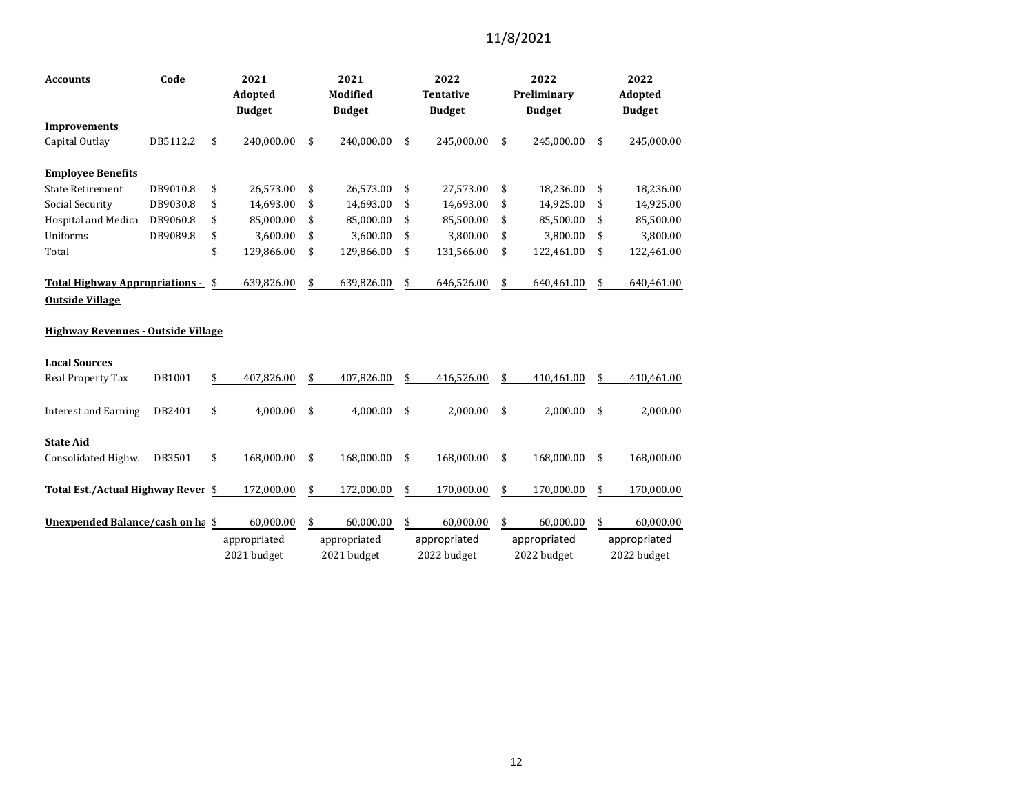| Code<br><b>Accounts</b>                                         |          |    | 2021<br><b>Adopted</b><br><b>Budget</b> |    | 2021<br><b>Modified</b><br><b>Budget</b> |    | 2022<br><b>Tentative</b><br><b>Budget</b> |    | 2022<br>Preliminary<br><b>Budget</b> | 2022<br>Adopted<br><b>Budget</b> |              |  |
|-----------------------------------------------------------------|----------|----|-----------------------------------------|----|------------------------------------------|----|-------------------------------------------|----|--------------------------------------|----------------------------------|--------------|--|
| <b>Improvements</b>                                             |          |    |                                         |    |                                          |    |                                           |    |                                      |                                  |              |  |
| Capital Outlay                                                  | DB5112.2 | \$ | 240,000.00                              | \$ | 240,000.00                               | \$ | 245,000.00                                | \$ | 245,000.00                           | \$                               | 245,000.00   |  |
| <b>Employee Benefits</b>                                        |          |    |                                         |    |                                          |    |                                           |    |                                      |                                  |              |  |
| <b>State Retirement</b>                                         | DB9010.8 | \$ | 26,573.00                               | \$ | 26,573.00                                | \$ | 27,573.00                                 | \$ | 18,236.00                            | \$                               | 18,236.00    |  |
| <b>Social Security</b>                                          | DB9030.8 | \$ | 14,693.00                               | \$ | 14,693.00                                | \$ | 14,693.00                                 | \$ | 14,925.00                            | \$                               | 14,925.00    |  |
| <b>Hospital and Medica</b>                                      | DB9060.8 | \$ | 85,000.00                               | \$ | 85,000.00                                | \$ | 85,500.00                                 | \$ | 85,500.00                            | \$                               | 85,500.00    |  |
| Uniforms                                                        | DB9089.8 | \$ | 3,600.00                                | \$ | 3,600.00                                 | \$ | 3,800.00                                  | \$ | 3,800.00                             | \$                               | 3,800.00     |  |
| Total                                                           |          | \$ | 129,866.00                              | \$ | 129,866.00                               | \$ | 131,566.00                                | \$ | 122,461.00                           | \$                               | 122,461.00   |  |
| <b>Total Highway Appropriations -</b><br><b>Outside Village</b> |          | \$ | 639,826.00                              | \$ | 639,826.00                               | \$ | 646,526.00                                | \$ | 640,461.00                           | \$                               | 640,461.00   |  |
| <b>Highway Revenues - Outside Village</b>                       |          |    |                                         |    |                                          |    |                                           |    |                                      |                                  |              |  |
| <b>Local Sources</b>                                            |          |    |                                         |    |                                          |    |                                           |    |                                      |                                  |              |  |
| Real Property Tax                                               | DB1001   | \$ | 407,826.00                              | \$ | 407,826.00                               | \$ | 416,526.00                                | \$ | 410.461.00                           | \$                               | 410,461.00   |  |
| <b>Interest and Earning</b>                                     | DB2401   | \$ | 4,000.00                                | \$ | 4,000.00                                 | \$ | 2,000.00                                  | \$ | 2,000.00                             | \$                               | 2,000.00     |  |
| <b>State Aid</b>                                                |          |    |                                         |    |                                          |    |                                           |    |                                      |                                  |              |  |
| Consolidated Highwa                                             | DB3501   | \$ | 168,000.00                              | \$ | 168,000.00                               | \$ | 168,000.00                                | \$ | 168,000.00                           | \$                               | 168,000.00   |  |
| Total Est./Actual Highway Rever \$                              |          |    | 172,000.00                              | \$ | 172,000.00                               | \$ | 170,000.00                                | \$ | 170,000.00                           | \$                               | 170,000.00   |  |
| Unexpended Balance/cash on ha \$                                |          |    | 60,000.00                               | \$ | 60,000.00                                | \$ | 60,000.00                                 | \$ | 60,000.00                            | \$                               | 60,000.00    |  |
|                                                                 |          |    | appropriated                            |    | appropriated                             |    | appropriated                              |    | appropriated                         |                                  | appropriated |  |
|                                                                 |          |    | 2021 budget                             |    | 2021 budget                              |    | 2022 budget                               |    | 2022 budget                          |                                  | 2022 budget  |  |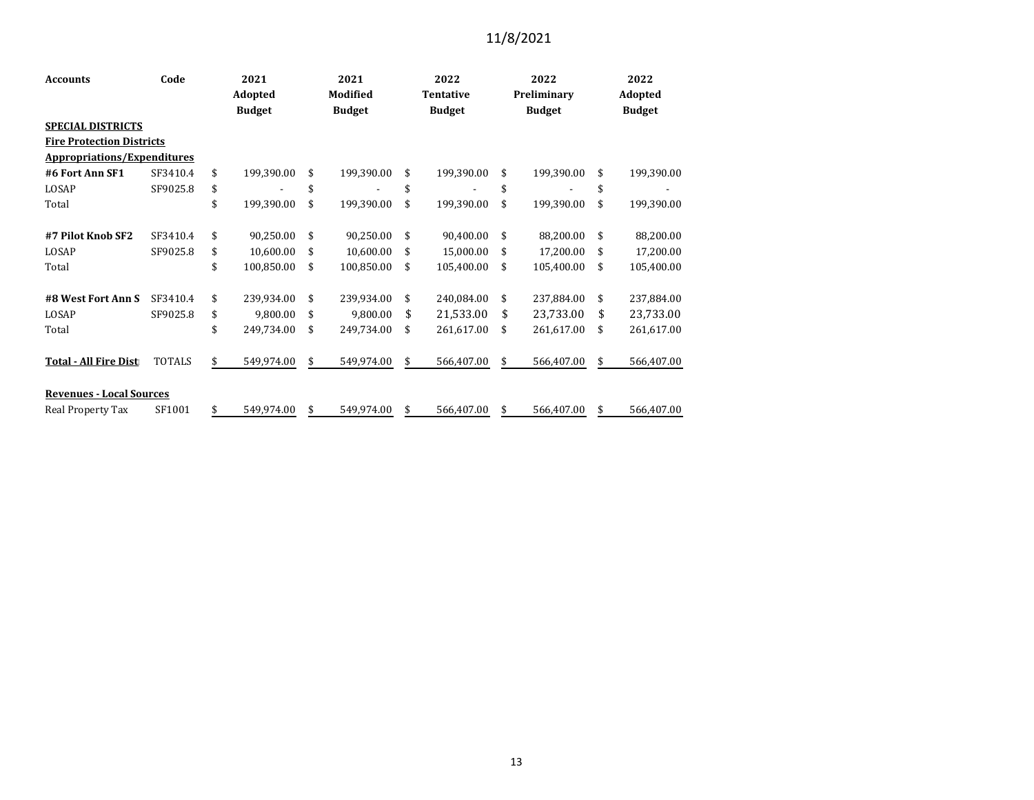| <b>Accounts</b>                    | Code          | 2021 |               |                 | 2021          |                  | 2022          |             | 2022          |         | 2022          |  |
|------------------------------------|---------------|------|---------------|-----------------|---------------|------------------|---------------|-------------|---------------|---------|---------------|--|
|                                    |               |      | Adopted       | <b>Modified</b> |               | <b>Tentative</b> |               | Preliminary |               | Adopted |               |  |
|                                    |               |      | <b>Budget</b> |                 | <b>Budget</b> |                  | <b>Budget</b> |             | <b>Budget</b> |         | <b>Budget</b> |  |
| <b>SPECIAL DISTRICTS</b>           |               |      |               |                 |               |                  |               |             |               |         |               |  |
| <b>Fire Protection Districts</b>   |               |      |               |                 |               |                  |               |             |               |         |               |  |
| <b>Appropriations/Expenditures</b> |               |      |               |                 |               |                  |               |             |               |         |               |  |
| #6 Fort Ann SF1                    | SF3410.4      | \$   | 199,390.00    | \$              | 199,390.00    | \$               | 199,390.00    | \$          | 199,390.00    | \$      | 199,390.00    |  |
| LOSAP                              | SF9025.8      | \$   |               | \$              |               | \$               |               | \$          |               | \$      |               |  |
| Total                              |               | \$   | 199,390.00    | \$              | 199,390.00    | \$               | 199,390.00    | \$          | 199,390.00    | \$      | 199,390.00    |  |
|                                    |               |      |               |                 |               |                  |               |             |               |         |               |  |
| #7 Pilot Knob SF2                  | SF3410.4      | \$   | 90,250.00     | \$              | 90,250.00     | \$               | 90,400.00     | \$          | 88,200.00     | \$      | 88,200.00     |  |
| LOSAP                              | SF9025.8      | \$   | 10,600.00     | \$              | 10,600.00     | \$               | 15,000.00     | \$          | 17,200.00     | \$      | 17,200.00     |  |
| Total                              |               | \$   | 100,850.00    | \$              | 100,850.00    | \$               | 105,400.00    | \$          | 105,400.00    | \$      | 105,400.00    |  |
|                                    |               |      |               |                 |               |                  |               |             |               |         |               |  |
| #8 West Fort Ann S                 | SF3410.4      | \$   | 239,934.00    | \$              | 239,934.00    | \$               | 240,084.00    | \$          | 237,884.00    | \$      | 237,884.00    |  |
| LOSAP                              | SF9025.8      | \$   | 9,800.00      | \$              | 9,800.00      | \$               | 21,533.00     | \$          | 23,733.00     | \$      | 23,733.00     |  |
| Total                              |               | \$   | 249,734.00    | \$              | 249,734.00    | \$               | 261,617.00    | \$          | 261,617.00    | \$      | 261,617.00    |  |
|                                    |               |      |               |                 |               |                  |               |             |               |         |               |  |
| <b>Total - All Fire Dist</b>       | <b>TOTALS</b> | \$   | 549,974.00    | \$              | 549,974.00    | \$               | 566,407.00    | \$          | 566,407.00    | \$      | 566,407.00    |  |
|                                    |               |      |               |                 |               |                  |               |             |               |         |               |  |
| <b>Revenues - Local Sources</b>    |               |      |               |                 |               |                  |               |             |               |         |               |  |
| Real Property Tax                  | SF1001        | \$   | 549,974.00    | \$              | 549,974.00    | \$               | 566,407.00    | \$          | 566,407.00    | \$      | 566,407.00    |  |